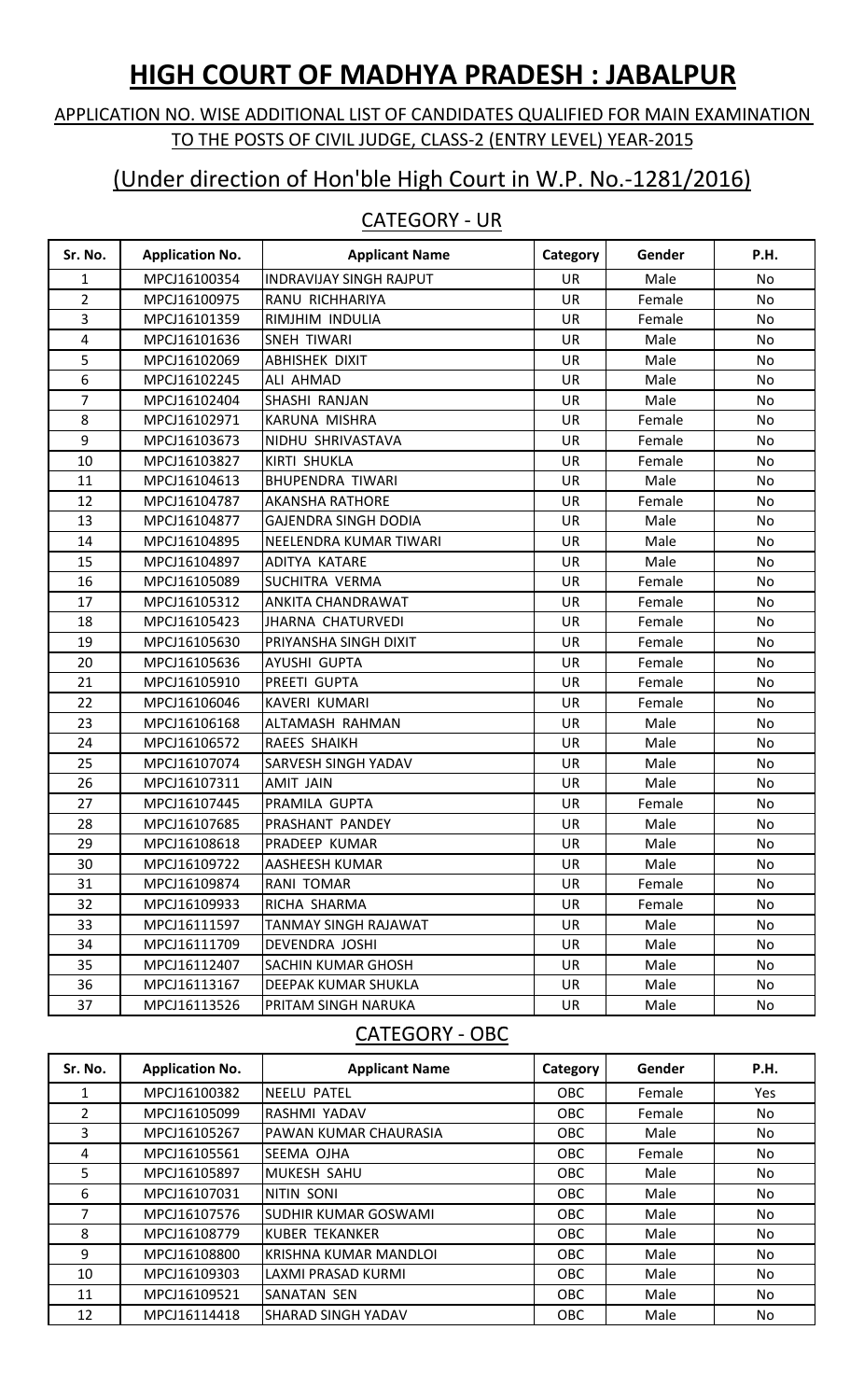# **HIGH COURT OF MADHYA PRADESH : JABALPUR**

#### APPLICATION NO. WISE ADDITIONAL LIST OF CANDIDATES QUALIFIED FOR MAIN EXAMINATION TO THE POSTS OF CIVIL JUDGE, CLASS-2 (ENTRY LEVEL) YEAR-2015

## (Under direction of Hon'ble High Court in W.P. No.-1281/2016)

#### CATEGORY - UR

| Sr. No.        | <b>Application No.</b> | <b>Applicant Name</b>          | Category  | Gender | P.H.      |
|----------------|------------------------|--------------------------------|-----------|--------|-----------|
| 1              | MPCJ16100354           | <b>INDRAVIJAY SINGH RAJPUT</b> | <b>UR</b> | Male   | No        |
| $\overline{2}$ | MPCJ16100975           | RANU RICHHARIYA                | <b>UR</b> | Female | No        |
| 3              | MPCJ16101359           | RIMJHIM INDULIA                | <b>UR</b> | Female | <b>No</b> |
| 4              | MPCJ16101636           | <b>SNEH TIWARI</b>             | <b>UR</b> | Male   | No        |
| 5              | MPCJ16102069           | <b>ABHISHEK DIXIT</b>          | <b>UR</b> | Male   | No        |
| 6              | MPCJ16102245           | <b>ALI AHMAD</b>               | <b>UR</b> | Male   | No        |
| 7              | MPCJ16102404           | SHASHI RANJAN                  | UR        | Male   | No        |
| 8              | MPCJ16102971           | <b>KARUNA MISHRA</b>           | <b>UR</b> | Female | <b>No</b> |
| 9              | MPCJ16103673           | NIDHU SHRIVASTAVA              | <b>UR</b> | Female | <b>No</b> |
| 10             | MPCJ16103827           | <b>KIRTI SHUKLA</b>            | <b>UR</b> | Female | No        |
| 11             | MPCJ16104613           | <b>BHUPENDRA TIWARI</b>        | <b>UR</b> | Male   | No        |
| 12             | MPCJ16104787           | <b>AKANSHA RATHORE</b>         | <b>UR</b> | Female | No        |
| 13             | MPCJ16104877           | <b>GAJENDRA SINGH DODIA</b>    | UR        | Male   | No        |
| 14             | MPCJ16104895           | NEELENDRA KUMAR TIWARI         | <b>UR</b> | Male   | No        |
| 15             | MPCJ16104897           | ADITYA KATARE                  | <b>UR</b> | Male   | No        |
| 16             | MPCJ16105089           | SUCHITRA VERMA                 | <b>UR</b> | Female | No        |
| 17             | MPCJ16105312           | ANKITA CHANDRAWAT              | <b>UR</b> | Female | No        |
| 18             | MPCJ16105423           | <b>JHARNA CHATURVEDI</b>       | UR        | Female | <b>No</b> |
| 19             | MPCJ16105630           | PRIYANSHA SINGH DIXIT          | UR        | Female | No        |
| 20             | MPCJ16105636           | AYUSHI GUPTA                   | UR        | Female | No        |
| 21             | MPCJ16105910           | PREETI GUPTA                   | <b>UR</b> | Female | <b>No</b> |
| 22             | MPCJ16106046           | KAVERI KUMARI                  | UR        | Female | <b>No</b> |
| 23             | MPCJ16106168           | ALTAMASH RAHMAN                | <b>UR</b> | Male   | No        |
| 24             | MPCJ16106572           | RAEES SHAIKH                   | UR        | Male   | No        |
| 25             | MPCJ16107074           | SARVESH SINGH YADAV            | UR        | Male   | No        |
| 26             | MPCJ16107311           | <b>AMIT JAIN</b>               | UR        | Male   | No.       |
| 27             | MPCJ16107445           | PRAMILA GUPTA                  | <b>UR</b> | Female | <b>No</b> |
| 28             | MPCJ16107685           | PRASHANT PANDEY                | <b>UR</b> | Male   | <b>No</b> |
| 29             | MPCJ16108618           | PRADEEP KUMAR                  | <b>UR</b> | Male   | No        |
| 30             | MPCJ16109722           | AASHEESH KUMAR                 | UR        | Male   | No        |
| 31             | MPCJ16109874           | RANI TOMAR                     | UR        | Female | No        |
| 32             | MPCJ16109933           | RICHA SHARMA                   | UR        | Female | No        |
| 33             | MPCJ16111597           | TANMAY SINGH RAJAWAT           | UR        | Male   | No        |
| 34             | MPCJ16111709           | DEVENDRA JOSHI                 | <b>UR</b> | Male   | No        |
| 35             | MPCJ16112407           | SACHIN KUMAR GHOSH             | <b>UR</b> | Male   | No        |
| 36             | MPCJ16113167           | DEEPAK KUMAR SHUKLA            | UR        | Male   | No        |
| 37             | MPCJ16113526           | PRITAM SINGH NARUKA            | UR        | Male   | No        |

#### CATEGORY - OBC

| Sr. No.        | <b>Application No.</b> | <b>Applicant Name</b>       | Category   | Gender | <b>P.H.</b> |
|----------------|------------------------|-----------------------------|------------|--------|-------------|
| 1              | MPCJ16100382           | <b>INEELU PATEL</b>         | OBC        | Female | Yes         |
| $\overline{2}$ | MPCJ16105099           | RASHMI YADAV                | <b>OBC</b> | Female | No          |
| 3              | MPCJ16105267           | PAWAN KUMAR CHAURASIA       | <b>OBC</b> | Male   | No          |
| 4              | MPCJ16105561           | SEEMA OJHA                  | <b>OBC</b> | Female | No          |
| 5              | MPCJ16105897           | MUKESH SAHU                 | <b>OBC</b> | Male   | No          |
| 6              | MPCJ16107031           | NITIN SONI                  | <b>OBC</b> | Male   | No          |
| 7              | MPCJ16107576           | <b>SUDHIR KUMAR GOSWAMI</b> | <b>OBC</b> | Male   | No          |
| 8              | MPCJ16108779           | KUBER TEKANKER              | <b>OBC</b> | Male   | No          |
| 9              | MPCJ16108800           | KRISHNA KUMAR MANDLOI       | <b>OBC</b> | Male   | No          |
| 10             | MPCJ16109303           | LAXMI PRASAD KURMI          | <b>OBC</b> | Male   | No          |
| 11             | MPCJ16109521           | <b>SANATAN SEN</b>          | <b>OBC</b> | Male   | No          |
| 12             | MPCJ16114418           | <b>SHARAD SINGH YADAV</b>   | <b>OBC</b> | Male   | No          |